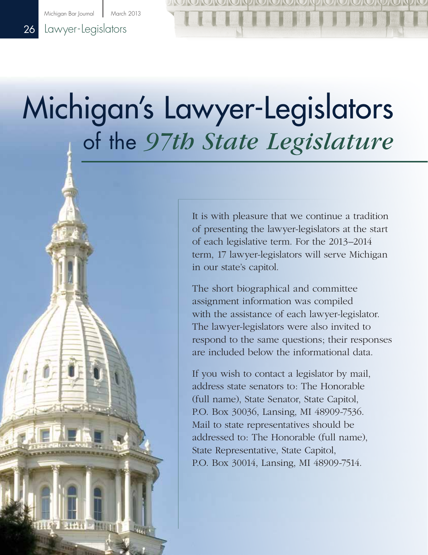Michigan Bar Journal | March 2013

## 26 Lawyer-Legislators

# Michigan's Lawyer-Legislators of the *97th State Legislature*

It is with pleasure that we continue a tradition of presenting the lawyer-legislators at the start of each legislative term. For the 2013–2014 term, 17 lawyer-legislators will serve Michigan in our state's capitol.

The short biographical and committee assignment information was compiled with the assistance of each lawyer-legislator. The lawyer-legislators were also invited to respond to the same questions; their responses are included below the informational data.

If you wish to contact a legislator by mail, address state senators to: The Honorable (full name), State Senator, State Capitol, P.O. Box 30036, Lansing, MI 48909-7536. Mail to state representatives should be addressed to: The Honorable (full name), State Representative, State Capitol, P.O. Box 30014, Lansing, MI 48909-7514.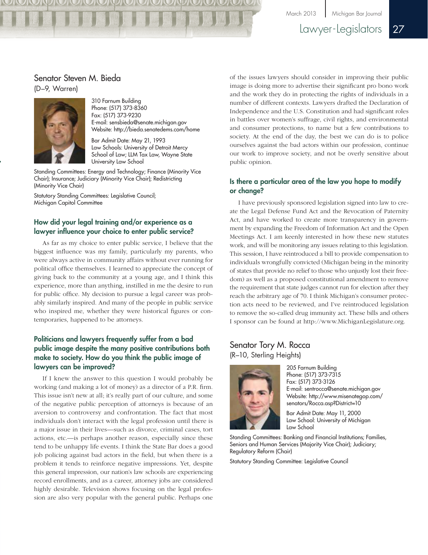March 2013 Michigan Bar Journal

Lawyer-Legislators 27

#### Senator Steven M. Bieda (D–9, Warren)



310 Farnum Building Phone: (517) 373-8360 Fax: (517) 373-9230 E-mail: sensbieda@senate.michigan.gov Website: http://bieda.senatedems.com/home

Bar Admit Date: May 21, 1993 Law Schools: University of Detroit Mercy School of Law; LLM Tax Law, Wayne State University Law School

Standing Committees: Energy and Technology; Finance (Minority Vice Chair); Insurance; Judiciary (Minority Vice Chair); Redistricting (Minority Vice Chair)

Statutory Standing Committees: Legislative Council; Michigan Capitol Committee

#### How did your legal training and/or experience as a lawyer influence your choice to enter public service?

As far as my choice to enter public service, I believe that the biggest influence was my family, particularly my parents, who were always active in community affairs without ever running for political office themselves. I learned to appreciate the concept of giving back to the community at a young age, and I think this experience, more than anything, instilled in me the desire to run for public office. My decision to pursue a legal career was probably similarly inspired. And many of the people in public service who inspired me, whether they were historical figures or contemporaries, happened to be attorneys.

#### Politicians and lawyers frequently suffer from a bad public image despite the many positive contributions both make to society. How do you think the public image of lawyers can be improved?

If I knew the answer to this question I would probably be working (and making a lot of money) as a director of a P.R. firm. This issue isn't new at all; it's really part of our culture, and some of the negative public perception of attorneys is because of an aversion to controversy and confrontation. The fact that most individuals don't interact with the legal profession until there is a major issue in their lives—such as divorce, criminal cases, tort actions, etc.—is perhaps another reason, especially since these tend to be unhappy life events. I think the State Bar does a good job policing against bad actors in the field, but when there is a problem it tends to reinforce negative impressions. Yet, despite this general impression, our nation's law schools are experiencing record enrollments, and as a career, attorney jobs are considered highly desirable. Television shows focusing on the legal profession are also very popular with the general public. Perhaps one

of the issues lawyers should consider in improving their public image is doing more to advertise their significant pro bono work and the work they do in protecting the rights of individuals in a number of different contexts. Lawyers drafted the Declaration of Independence and the U.S. Constitution and had significant roles in battles over women's suffrage, civil rights, and environmental and consumer protections, to name but a few contributions to society. At the end of the day, the best we can do is to police ourselves against the bad actors within our profession, continue our work to improve society, and not be overly sensitive about public opinion.

#### Is there a particular area of the law you hope to modify or change?

I have previously sponsored legislation signed into law to create the Legal Defense Fund Act and the Revocation of Paternity Act, and have worked to create more transparency in government by expanding the Freedom of Information Act and the Open Meetings Act. I am keenly interested in how these new statutes work, and will be monitoring any issues relating to this legislation. This session, I have reintroduced a bill to provide compensation to individuals wrongfully convicted (Michigan being in the minority of states that provide no relief to those who unjustly lost their freedom) as well as a proposed constitutional amendment to remove the requirement that state judges cannot run for election after they reach the arbitrary age of 70. I think Michigan's consumer protection acts need to be reviewed, and I've reintroduced legislation to remove the so-called drug immunity act. These bills and others I sponsor can be found at http://www.MichiganLegislature.org.

#### Senator Tory M. Rocca (R–10, Sterling Heights)



205 Farnum Building Phone: (517) 373-7315 Fax: (517) 373-3126 E-mail: sentrocca@senate.michigan.gov Website: http:/[/www.misenategop.com/](www.misenategop.com/senators/Rocca.asp?District=10) [senators/Rocca.asp?District=10](www.misenategop.com/senators/Rocca.asp?District=10)

Bar Admit Date: May 11, 2000 Law School: University of Michigan Law School

Standing Committees: Banking and Financial Institutions; Families, Seniors and Human Services (Majority Vice Chair); Judiciary; Regulatory Reform (Chair)

Statutory Standing Committee: Legislative Council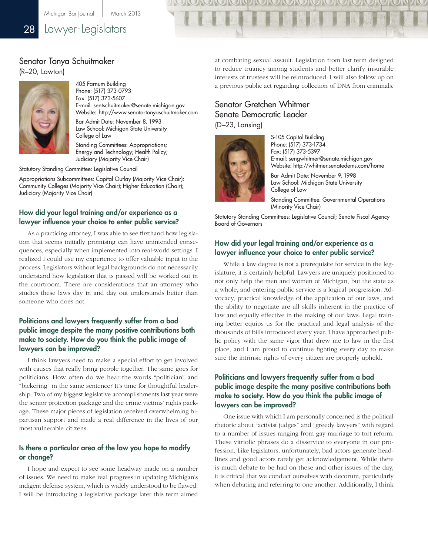## 28 Lawyer-Legislators

#### Senator Tonya Schuitmaker (R–20, Lawton)



405 Farnum Building Phone: (517) 373-0793 Fax: (517) 373-5607 E-mail: sentschuitmaker@senate.michigan.gov Website: http://www.senatortonyaschuitmaker.com

Bar Admit Date: November 8, 1993 Law School: Michigan State University College of Law

Standing Committees: Appropriations; Energy and Technology; Health Policy; Judiciary (Majority Vice Chair)

Statutory Standing Committee: Legislative Council

Appropriations Subcommittees: Capital Outlay (Majority Vice Chair); Community Colleges (Majority Vice Chair); Higher Education (Chair); Judiciary (Majority Vice Chair)

#### How did your legal training and/or experience as a lawyer influence your choice to enter public service?

As a practicing attorney, I was able to see firsthand how legislation that seems initially promising can have unintended consequences, especially when implemented into real-world settings. I realized I could use my experience to offer valuable input to the process. Legislators without legal backgrounds do not necessarily understand how legislation that is passed will be worked out in the courtroom. There are considerations that an attorney who studies these laws day in and day out understands better than someone who does not.

#### Politicians and lawyers frequently suffer from a bad public image despite the many positive contributions both make to society. How do you think the public image of lawyers can be improved?

I think lawyers need to make a special effort to get involved with causes that really bring people together. The same goes for politicians. How often do we hear the words "politician" and "bickering" in the same sentence? It's time for thoughtful leadership. Two of my biggest legislative accomplishments last year were the senior protection package and the crime victims' rights package. These major pieces of legislation received overwhelming bipartisan support and made a real difference in the lives of our most vulnerable citizens.

#### Is there a particular area of the law you hope to modify or change?

I hope and expect to see some headway made on a number of issues. We need to make real progress in updating Michigan's indigent defense system, which is widely understood to be flawed. I will be introducing a legislative package later this term aimed

at combating sexual assault. Legislation from last term designed to reduce truancy among students and better clarify insurable interests of trustees will be reintroduced. I will also follow up on a previous public act regarding collection of DNA from criminals.

## Senator Gretchen Whitmer Senate Democratic Leader

(D–23, Lansing)



S-105 Capitol Building Phone: (517) 373-1734 Fax: (517) 373-5397 E-mail: sengwhitmer@senate.michigan.gov Website: http://whitmer.senatedems.com/home Bar Admit Date: November 9, 1998 Law School: Michigan State University College of Law Standing Committee: Governmental Operations

(Minority Vice Chair)

Statutory Standing Committees: Legislative Council; Senate Fiscal Agency Board of Governors

#### How did your legal training and/or experience as a lawyer influence your choice to enter public service?

While a law degree is not a prerequisite for service in the legislature, it is certainly helpful. Lawyers are uniquely positioned to not only help the men and women of Michigan, but the state as a whole, and entering public service is a logical progression. Advocacy, practical knowledge of the application of our laws, and the ability to negotiate are all skills inherent in the practice of law and equally effective in the making of our laws. Legal training better equips us for the practical and legal analysis of the thousands of bills introduced every year. I have approached public policy with the same vigor that drew me to law in the first place, and I am proud to continue fighting every day to make sure the intrinsic rights of every citizen are properly upheld.

#### Politicians and lawyers frequently suffer from a bad public image despite the many positive contributions both make to society. How do you think the public image of lawyers can be improved?

One issue with which I am personally concerned is the political rhetoric about "activist judges" and "greedy lawyers" with regard to a number of issues ranging from gay marriage to tort reform. These vitriolic phrases do a disservice to everyone in our profession. Like legislators, unfortunately, bad actors generate headlines and good actors rarely get acknowledgement. While there is much debate to be had on these and other issues of the day, it is critical that we conduct ourselves with decorum, particularly when debating and referring to one another. Additionally, I think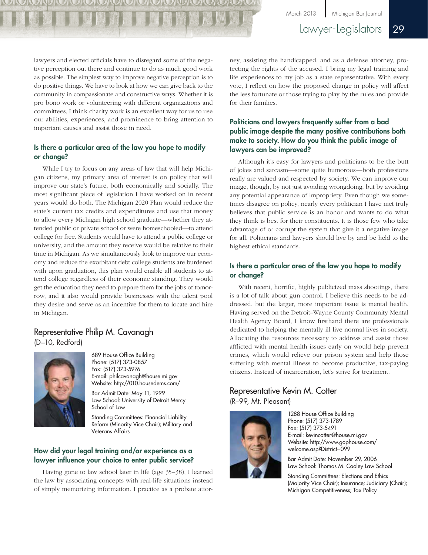March 2013 Michigan Bar Journal

Lawyer-Legislators 29

lawyers and elected officials have to disregard some of the negative perception out there and continue to do as much good work as possible. The simplest way to improve negative perception is to do positive things. We have to look at how we can give back to the community in compassionate and constructive ways. Whether it is pro bono work or volunteering with different organizations and committees, I think charity work is an excellent way for us to use our abilities, experiences, and prominence to bring attention to important causes and assist those in need.

#### Is there a particular area of the law you hope to modify or change?

While I try to focus on any areas of law that will help Michigan citizens, my primary area of interest is on policy that will improve our state's future, both economically and socially. The most significant piece of legislation I have worked on in recent years would do both. The Michigan 2020 Plan would reduce the state's current tax credits and expenditures and use that money to allow every Michigan high school graduate—whether they attended public or private school or were homeschooled—to attend college for free. Students would have to attend a public college or university, and the amount they receive would be relative to their time in Michigan. As we simultaneously look to improve our economy and reduce the exorbitant debt college students are burdened with upon graduation, this plan would enable all students to attend college regardless of their economic standing. They would get the education they need to prepare them for the jobs of tomorrow, and it also would provide businesses with the talent pool they desire and serve as an incentive for them to locate and hire in Michigan.

### Representative Philip M. Cavanagh (D–10, Redford)



689 House Office Building Phone: (517) 373-0857 Fax: (517) 373-5976 E-mail: philcavanagh@house.mi.gov Website: http://010.housedems.com/

Bar Admit Date: May 11, 1999 Law School: University of Detroit Mercy School of Law

Standing Committees: Financial Liability Reform (Minority Vice Chair); Military and Veterans Affairs

#### How did your legal training and/or experience as a lawyer influence your choice to enter public service?

Having gone to law school later in life (age 35–38), I learned the law by associating concepts with real-life situations instead of simply memorizing information. I practice as a probate attorney, assisting the handicapped, and as a defense attorney, protecting the rights of the accused. I bring my legal training and life experiences to my job as a state representative. With every vote, I reflect on how the proposed change in policy will affect the less fortunate or those trying to play by the rules and provide for their families.

#### Politicians and lawyers frequently suffer from a bad public image despite the many positive contributions both make to society. How do you think the public image of lawyers can be improved?

Although it's easy for lawyers and politicians to be the butt of jokes and sarcasm—some quite humorous—both professions really are valued and respected by society. We can improve our image, though, by not just avoiding wrongdoing, but by avoiding any potential appearance of impropriety. Even though we sometimes disagree on policy, nearly every politician I have met truly believes that public service is an honor and wants to do what they think is best for their constituents. It is those few who take advantage of or corrupt the system that give it a negative image for all. Politicians and lawyers should live by and be held to the highest ethical standards.

#### Is there a particular area of the law you hope to modify or change?

With recent, horrific, highly publicized mass shootings, there is a lot of talk about gun control. I believe this needs to be addressed, but the larger, more important issue is mental health. Having served on the Detroit–Wayne County Community Mental Health Agency Board, I know firsthand there are professionals dedicated to helping the mentally ill live normal lives in society. Allocating the resources necessary to address and assist those afflicted with mental health issues early on would help prevent crimes, which would relieve our prison system and help those suffering with mental illness to become productive, tax-paying citizens. Instead of incarceration, let's strive for treatment.

## Representative Kevin M. Cotter

(R–99, Mt. Pleasant)



1288 House Office Building Phone: (517) 373-1789 Fax: (517) 373-5491 E-mail: kevincotter@house.mi.gov Website: [http://www.gophouse.com/](http://www.gophouse.com/welcome.asp?District=099) [welcome.asp?District=099](http://www.gophouse.com/welcome.asp?District=099)

Bar Admit Date: November 29, 2006 Law School: Thomas M. Cooley Law School

Standing Committees: Elections and Ethics (Majority Vice Chair); Insurance; Judiciary (Chair); Michigan Competitiveness; Tax Policy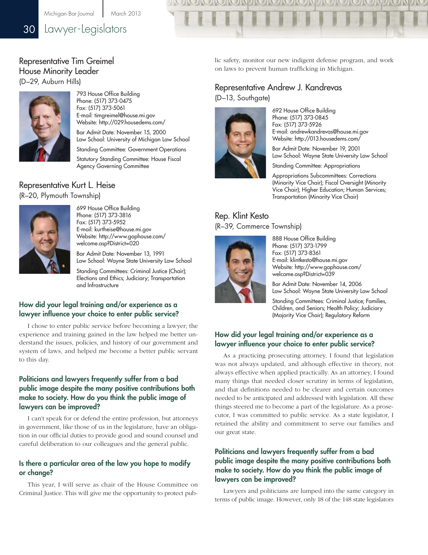Michigan Bar Journal | March 2013

## 30 Lawyer-Legislators

## Representative Tim Greimel House Minority Leader

(D–29, Auburn Hills)



793 House Office Building Phone: (517) 373-0475 Fax: (517) 373-5061 E-mail: timgreimel@house.mi.gov Website: http://029.housedems.com/

Bar Admit Date: November 15, 2000 Law School: University of Michigan Law School

Standing Committee: Government Operations Statutory Standing Committee: House Fiscal Agency Governing Committee

## Representative Kurt L. Heise

(R–20, Plymouth Township)



699 House Office Building Phone: (517) 373-3816 Fax: (517) 373-5952 E-mail: kurtheise@house.mi.gov Website: [http://www.gophouse.com/](http://www.gophouse.com/welcome.asp?District=020) [welcome.asp?District=020](http://www.gophouse.com/welcome.asp?District=020)

Bar Admit Date: November 13, 1991 Law School: Wayne State University Law School

Standing Committees: Criminal Justice (Chair); Elections and Ethics; Judiciary; Transportation and Infrastructure

#### How did your legal training and/or experience as a lawyer influence your choice to enter public service?

I chose to enter public service before becoming a lawyer; the experience and training gained in the law helped me better understand the issues, policies, and history of our government and system of laws, and helped me become a better public servant to this day.

#### Politicians and lawyers frequently suffer from a bad public image despite the many positive contributions both make to society. How do you think the public image of lawyers can be improved?

I can't speak for or defend the entire profession, but attorneys in government, like those of us in the legislature, have an obligation in our official duties to provide good and sound counsel and careful deliberation to our colleagues and the general public.

#### Is there a particular area of the law you hope to modify or change?

This year, I will serve as chair of the House Committee on Criminal Justice. This will give me the opportunity to protect pub-

lic safety, monitor our new indigent defense program, and work on laws to prevent human trafficking in Michigan.

## Representative Andrew J. Kandrevas

(D–13, Southgate)



692 House Office Building Phone: (517) 373-0845 Fax: (517) 373-5926 E-mail: andrewkandrevas@house.mi.gov Website: http://013.housedems.com/

Bar Admit Date: November 19, 2001 Law School: Wayne State University Law School

Standing Committee: Appropriations

Appropriations Subcommittees: Corrections (Minority Vice Chair); Fiscal Oversight (Minority Vice Chair); Higher Education; Human Services; Transportation (Minority Vice Chair)

#### Rep. Klint Kesto (R–39, Commerce Township)



888 House Office Building Phone: (517) 373-1799 Fax: (517) 373-8361 E-mail: klintkesto@house.mi.gov Website: [http://www.gophouse.com/](http://www.gophouse.com/welcome.asp?District=039) [welcome.asp?District=039](http://www.gophouse.com/welcome.asp?District=039)

Bar Admit Date: November 14, 2006 Law School: Wayne State University Law School

Standing Committees: Criminal Justice; Families, Children, and Seniors; Health Policy; Judiciary (Majority Vice Chair); Regulatory Reform

#### How did your legal training and/or experience as a lawyer influence your choice to enter public service?

As a practicing prosecuting attorney, I found that legislation was not always updated, and although effective in theory, not always effective when applied practically. As an attorney, I found many things that needed closer scrutiny in terms of legislation, and that definitions needed to be clearer and certain outcomes needed to be anticipated and addressed with legislation. All these things steered me to become a part of the legislature. As a prosecutor, I was committed to public service. As a state legislator, I retained the ability and commitment to serve our families and our great state.

#### Politicians and lawyers frequently suffer from a bad public image despite the many positive contributions both make to society. How do you think the public image of lawyers can be improved?

Lawyers and politicians are lumped into the same category in terms of public image. However, only 18 of the 148 state legislators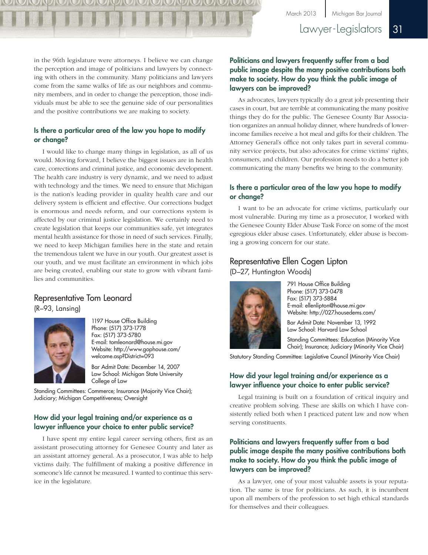in the 96th legislature were attorneys. I believe we can change the perception and image of politicians and lawyers by connecting with others in the community. Many politicians and lawyers come from the same walks of life as our neighbors and community members, and in order to change the perception, those individuals must be able to see the genuine side of our personalities and the positive contributions we are making to society.

#### Is there a particular area of the law you hope to modify or change?

I would like to change many things in legislation, as all of us would. Moving forward, I believe the biggest issues are in health care, corrections and criminal justice, and economic development. The health care industry is very dynamic, and we need to adjust with technology and the times. We need to ensure that Michigan is the nation's leading provider in quality health care and our delivery system is efficient and effective. Our corrections budget is enormous and needs reform, and our corrections system is affected by our criminal justice legislation. We certainly need to create legislation that keeps our communities safe, yet integrates mental health assistance for those in need of such services. Finally, we need to keep Michigan families here in the state and retain the tremendous talent we have in our youth. Our greatest asset is our youth, and we must facilitate an environment in which jobs are being created, enabling our state to grow with vibrant families and communities.

#### Representative Tom Leonard

(R–93, Lansing)



1197 House Office Building Phone: (517) 373-1778 Fax: (517) 373-5780 E-mail: tomleonard@house.mi.gov Website: [http://www.gophouse.com/](http://www.gophouse.com/welcome.asp?District=093) [welcome.asp?District=093](http://www.gophouse.com/welcome.asp?District=093)

Bar Admit Date: December 14, 2007 Law School: Michigan State University College of Law

Standing Committees: Commerce; Insurance (Majority Vice Chair); Judiciary; Michigan Competitiveness; Oversight

#### How did your legal training and/or experience as a lawyer influence your choice to enter public service?

I have spent my entire legal career serving others, first as an assistant prosecuting attorney for Genesee County and later as an assistant attorney general. As a prosecutor, I was able to help victims daily. The fulfillment of making a positive difference in someone's life cannot be measured. I wanted to continue this service in the legislature.

#### Politicians and lawyers frequently suffer from a bad public image despite the many positive contributions both make to society. How do you think the public image of lawyers can be improved?

As advocates, lawyers typically do a great job presenting their cases in court, but are terrible at communicating the many positive things they do for the public. The Genesee County Bar Association organizes an annual holiday dinner, where hundreds of lowerincome families receive a hot meal and gifts for their children. The Attorney General's office not only takes part in several community service projects, but also advocates for crime victims' rights, consumers, and children. Our profession needs to do a better job communicating the many benefits we bring to the community.

#### Is there a particular area of the law you hope to modify or change?

I want to be an advocate for crime victims, particularly our most vulnerable. During my time as a prosecutor, I worked with the Genesee County Elder Abuse Task Force on some of the most egregious elder abuse cases. Unfortunately, elder abuse is becoming a growing concern for our state.

#### Representative Ellen Cogen Lipton (D–27, Huntington Woods)



791 House Office Building Phone: (517) 373-0478 Fax: (517) 373-5884 E-mail: ellenlipton@house.mi.gov Website: http://027.housedems.com/

Bar Admit Date: November 13, 1992 Law School: Harvard Law School

Standing Committees: Education (Minority Vice Chair); Insurance; Judiciary (Minority Vice Chair)

Statutory Standing Committee: Legislative Council (Minority Vice Chair)

#### How did your legal training and/or experience as a lawyer influence your choice to enter public service?

Legal training is built on a foundation of critical inquiry and creative problem solving. These are skills on which I have consistently relied both when I practiced patent law and now when serving constituents.

#### Politicians and lawyers frequently suffer from a bad public image despite the many positive contributions both make to society. How do you think the public image of lawyers can be improved?

As a lawyer, one of your most valuable assets is your reputation. The same is true for politicians. As such, it is incumbent upon all members of the profession to set high ethical standards for themselves and their colleagues.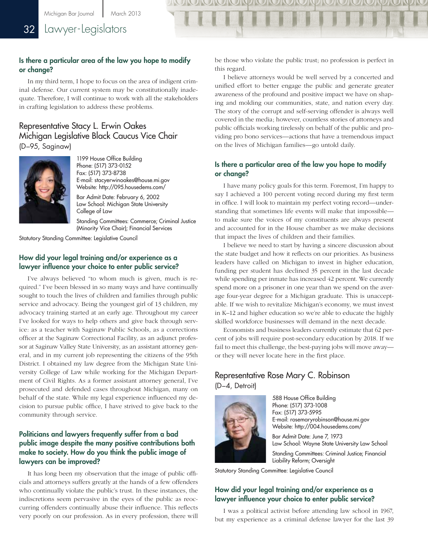#### Is there a particular area of the law you hope to modify or change?

In my third term, I hope to focus on the area of indigent criminal defense. Our current system may be constitutionally inadequate. Therefore, I will continue to work with all the stakeholders in crafting legislation to address these problems.

#### Representative Stacy L. Erwin Oakes Michigan Legislative Black Caucus Vice Chair (D–95, Saginaw)



1199 House Office Building Phone: (517) 373-0152 Fax: (517) 373-8738 E-mail: stacyerwinoakes@house.mi.gov Website: http://095.housedems.com/

Bar Admit Date: February 6, 2002 Law School: Michigan State University College of Law

Standing Committees: Commerce; Criminal Justice (Minority Vice Chair); Financial Services

Statutory Standing Committee: Legislative Council

#### How did your legal training and/or experience as a lawyer influence your choice to enter public service?

I've always believed "to whom much is given, much is required." I've been blessed in so many ways and have continually sought to touch the lives of children and families through public service and advocacy. Being the youngest girl of 13 children, my advocacy training started at an early age. Throughout my career I've looked for ways to help others and give back through service: as a teacher with Saginaw Public Schools, as a corrections officer at the Saginaw Correctional Facility, as an adjunct professor at Saginaw Valley State University, as an assistant attorney general, and in my current job representing the citizens of the 95th District. I obtained my law degree from the Michigan State University College of Law while working for the Michigan Department of Civil Rights. As a former assistant attorney general, I've prosecuted and defended cases throughout Michigan, many on behalf of the state. While my legal experience influenced my decision to pursue public office, I have strived to give back to the community through service.

#### Politicians and lawyers frequently suffer from a bad public image despite the many positive contributions both make to society. How do you think the public image of lawyers can be improved?

It has long been my observation that the image of public officials and attorneys suffers greatly at the hands of a few offenders who continually violate the public's trust. In these instances, the indiscretions seem pervasive in the eyes of the public as reoccurring offenders continually abuse their influence. This reflects very poorly on our profession. As in every profession, there will be those who violate the public trust; no profession is perfect in this regard.

I believe attorneys would be well served by a concerted and unified effort to better engage the public and generate greater awareness of the profound and positive impact we have on shaping and molding our communities, state, and nation every day. The story of the corrupt and self-serving offender is always well covered in the media; however, countless stories of attorneys and public officials working tirelessly on behalf of the public and providing pro bono services—actions that have a tremendous impact on the lives of Michigan families—go untold daily.

#### Is there a particular area of the law you hope to modify or change?

I have many policy goals for this term. Foremost, I'm happy to say I achieved a 100 percent voting record during my first term in office. I will look to maintain my perfect voting record—understanding that sometimes life events will make that impossible to make sure the voices of my constituents are always present and accounted for in the House chamber as we make decisions that impact the lives of children and their families.

I believe we need to start by having a sincere discussion about the state budget and how it reflects on our priorities. As business leaders have called on Michigan to invest in higher education, funding per student has declined 35 percent in the last decade while spending per inmate has increased 42 percent. We currently spend more on a prisoner in one year than we spend on the average four-year degree for a Michigan graduate. This is unacceptable. If we wish to revitalize Michigan's economy, we must invest in K–12 and higher education so we're able to educate the highly skilled workforce businesses will demand in the next decade.

Economists and business leaders currently estimate that 62 percent of jobs will require post-secondary education by 2018. If we fail to meet this challenge, the best-paying jobs will move away or they will never locate here in the first place.

#### Representative Rose Mary C. Robinson (D–4, Detroit)



588 House Office Building Phone: (517) 373-1008 Fax: (517) 373-5995 E-mail: rosemaryrobinson@house.mi.gov Website: http://004.housedems.com/

Bar Admit Date: June 7, 1973 Law School: Wayne State University Law School Standing Committees: Criminal Justice; Financial Liability Reform; Oversight

Statutory Standing Committee: Legislative Council

#### How did your legal training and/or experience as a lawyer influence your choice to enter public service?

I was a political activist before attending law school in 1967, but my experience as a criminal defense lawyer for the last 39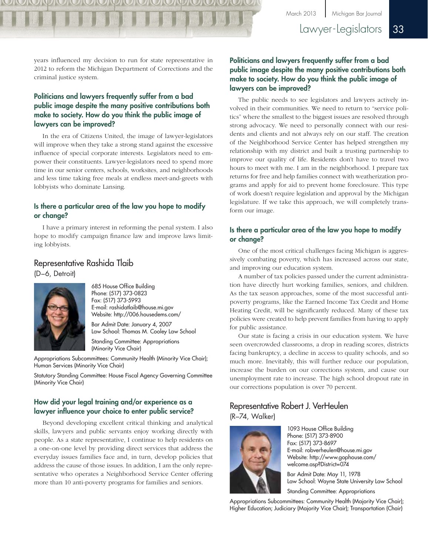## Lawyer-Legislators 33

years influenced my decision to run for state representative in 2012 to reform the Michigan Department of Corrections and the criminal justice system.

#### Politicians and lawyers frequently suffer from a bad public image despite the many positive contributions both make to society. How do you think the public image of lawyers can be improved?

In the era of Citizens United, the image of lawyer-legislators will improve when they take a strong stand against the excessive influence of special corporate interests. Legislators need to empower their constituents. Lawyer-legislators need to spend more time in our senior centers, schools, worksites, and neighborhoods and less time taking free meals at endless meet-and-greets with lobbyists who dominate Lansing.

#### Is there a particular area of the law you hope to modify or change?

I have a primary interest in reforming the penal system. I also hope to modify campaign finance law and improve laws limiting lobbyists.

#### Representative Rashida Tlaib

(D–6, Detroit)



685 House Office Building Phone: (517) 373-0823 Fax: (517) 373-5993 E-mail: rashidatlaib@house.mi.gov Website: http://006.housedems.com/ Bar Admit Date: January 4, 2007 Law School: Thomas M. Cooley Law School

Standing Committee: Appropriations (Minority Vice Chair)

Appropriations Subcommittees: Community Health (Minority Vice Chair); Human Services (Minority Vice Chair)

Statutory Standing Committee: House Fiscal Agency Governing Committee (Minority Vice Chair)

#### How did your legal training and/or experience as a lawyer influence your choice to enter public service?

Beyond developing excellent critical thinking and analytical skills, lawyers and public servants enjoy working directly with people. As a state representative, I continue to help residents on a one-on-one level by providing direct services that address the everyday issues families face and, in turn, develop policies that address the cause of those issues. In addition, I am the only representative who operates a Neighborhood Service Center offering more than 10 anti-poverty programs for families and seniors.

#### Politicians and lawyers frequently suffer from a bad public image despite the many positive contributions both make to society. How do you think the public image of lawyers can be improved?

The public needs to see legislators and lawyers actively involved in their communities. We need to return to "service politics" where the smallest to the biggest issues are resolved through strong advocacy. We need to personally connect with our residents and clients and not always rely on our staff. The creation of the Neighborhood Service Center has helped strengthen my relationship with my district and built a trusting partnership to improve our quality of life. Residents don't have to travel two hours to meet with me. I am in the neighborhood. I prepare tax returns for free and help families connect with weatherization programs and apply for aid to prevent home foreclosure. This type of work doesn't require legislation and approval by the Michigan legislature. If we take this approach, we will completely transform our image.

#### Is there a particular area of the law you hope to modify or change?

One of the most critical challenges facing Michigan is aggressively combating poverty, which has increased across our state, and improving our education system.

A number of tax policies passed under the current administration have directly hurt working families, seniors, and children. As the tax season approaches, some of the most successful antipoverty programs, like the Earned Income Tax Credit and Home Heating Credit, will be significantly reduced. Many of these tax policies were created to help prevent families from having to apply for public assistance.

Our state is facing a crisis in our education system. We have seen overcrowded classrooms, a drop in reading scores, districts facing bankruptcy, a decline in access to quality schools, and so much more. Inevitably, this will further reduce our population, increase the burden on our corrections system, and cause our unemployment rate to increase. The high school dropout rate in our corrections population is over 70 percent.

#### Representative Robert J. VerHeulen (R–74, Walker)



1093 House Office Building Phone: (517) 373-8900 Fax: (517) 373-8697 E-mail: robverheulen@house.mi.gov Website: [http://www.gophouse.com/](http://www.gophouse.com/welcome.asp?District=074) [welcome.asp?District=074](http://www.gophouse.com/welcome.asp?District=074)

Bar Admit Date: May 11, 1978 Law School: Wayne State University Law School

Standing Committee: Appropriations

Appropriations Subcommittees: Community Health (Majority Vice Chair); Higher Education; Judiciary (Majority Vice Chair); Transportation (Chair)